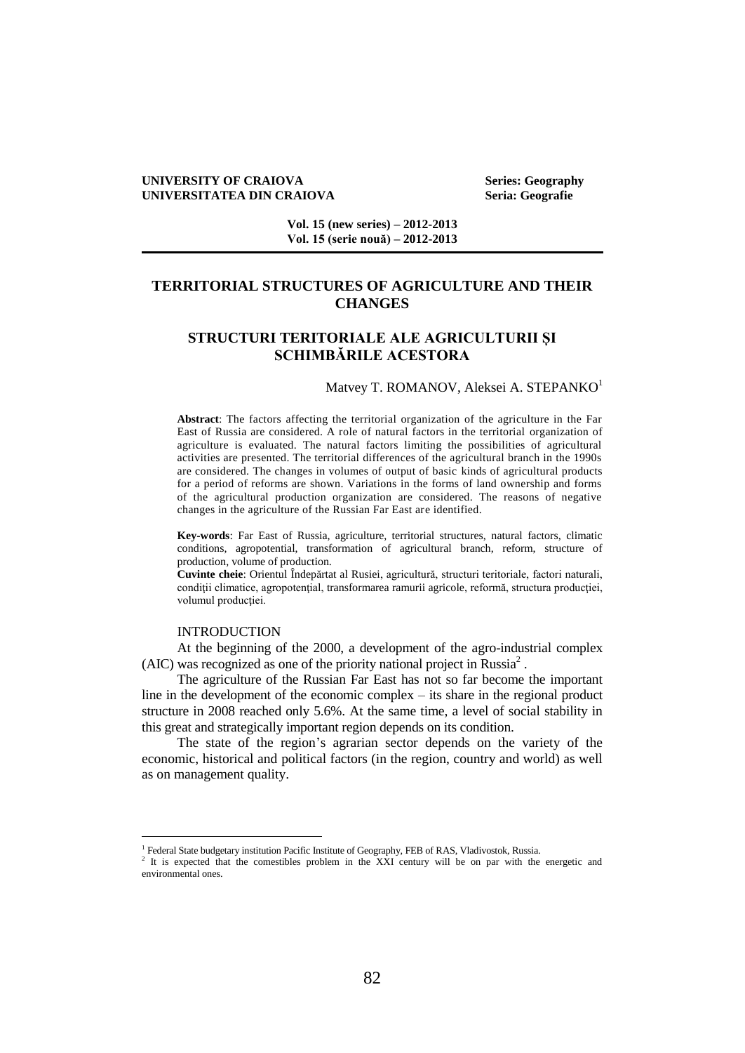### **UNIVERSITY OF CRAIOVA Series: Geography UNIVERSITATEA DIN CRAIOVA Seria: Geografie**

**Vol. 15 (new series) – 2012-2013 Vol. 15 (serie nouă) – 2012-2013**

# **TERRITORIAL STRUCTURES OF AGRICULTURE AND THEIR CHANGES**

# **STRUCTURI TERITORIALE ALE AGRICULTURII ȘI SCHIMBĂRILE ACESTORA**

### Matvey T. ROMANOV, Aleksei A. STEPANKO<sup>1</sup>

**Abstract**: The factors affecting the territorial organization of the agriculture in the Far East of Russia are considered. A role of natural factors in the territorial organization of agriculture is evaluated. The natural factors limiting the possibilities of agricultural activities are presented. The territorial differences of the agricultural branch in the 1990s are considered. The changes in volumes of output of basic kinds of agricultural products for a period of reforms are shown. Variations in the forms of land ownership and forms of the agricultural production organization are considered. The reasons of negative changes in the agriculture of the Russian Far East are identified.

**Key-words**: Far East of Russia, agriculture, territorial structures, natural factors, climatic conditions, agropotential, transformation of agricultural branch, reform, structure of production, volume of production.

**Cuvinte cheie**: Orientul Îndepărtat al Rusiei, agricultură, structuri teritoriale, factori naturali, condiții climatice, agropotențial, transformarea ramurii agricole, reformă, structura producției, volumul productiei.

### INTRODUCTION

 $\overline{a}$ 

At the beginning of the 2000, a development of the agro-industrial complex  $(AIC)$  was recognized as one of the priority national project in Russia<sup>2</sup>.

The agriculture of the Russian Far East has not so far become the important line in the development of the economic complex – its share in the regional product structure in 2008 reached only 5.6%. At the same time, a level of social stability in this great and strategically important region depends on its condition.

The state of the region's agrarian sector depends on the variety of the economic, historical and political factors (in the region, country and world) as well as on management quality.

<sup>&</sup>lt;sup>1</sup> Federal State budgetary institution Pacific Institute of Geography, FEB of RAS, Vladivostok, Russia.

<sup>2</sup> It is expected that the comestibles problem in the XXI century will be on par with the energetic and environmental ones.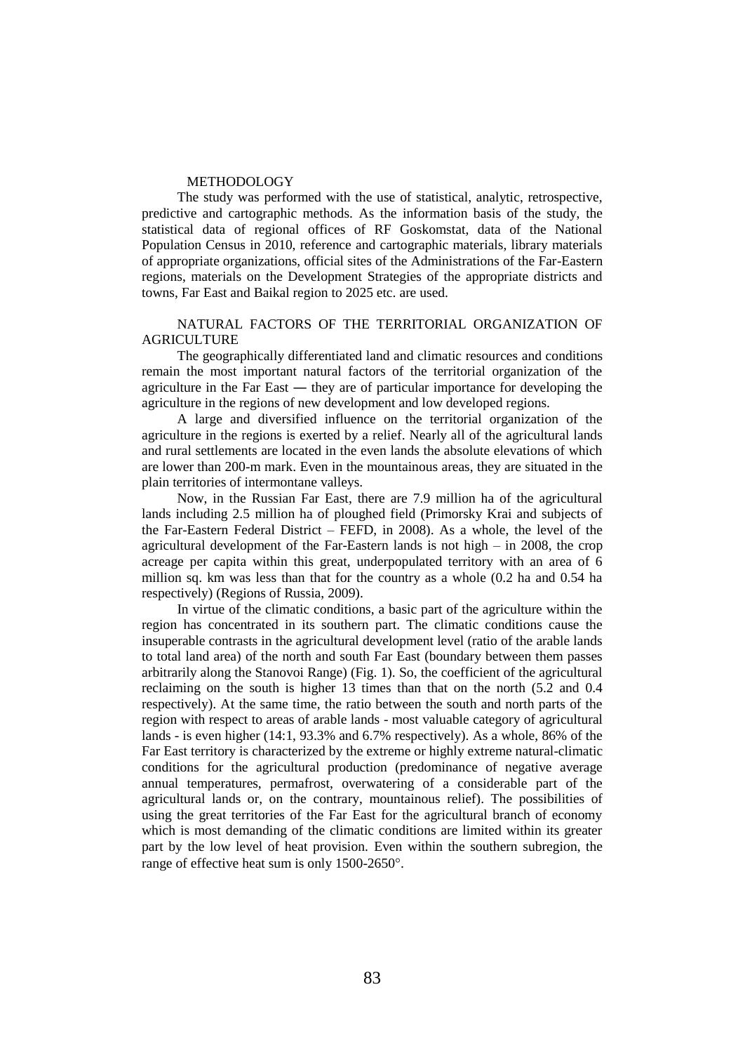#### METHODOLOGY

The study was performed with the use of statistical, analytic, retrospective, predictive and cartographic methods. As the information basis of the study, the statistical data of regional offices of RF Goskomstat, data of the National Population Census in 2010, reference and cartographic materials, library materials of appropriate organizations, official sites of the Administrations of the Far-Eastern regions, materials on the Development Strategies of the appropriate districts and towns, Far East and Baikal region to 2025 etc. are used.

## NATURAL FACTORS OF THE TERRITORIAL ORGANIZATION OF AGRICULTURE

The geographically differentiated land and climatic resources and conditions remain the most important natural factors of the territorial organization of the agriculture in the Far East ― they are of particular importance for developing the agriculture in the regions of new development and low developed regions.

A large and diversified influence on the territorial organization of the agriculture in the regions is exerted by a relief. Nearly all of the agricultural lands and rural settlements are located in the even lands the absolute elevations of which are lower than 200-m mark. Even in the mountainous areas, they are situated in the plain territories of intermontane valleys.

Now, in the Russian Far East, there are 7.9 million ha of the agricultural lands including 2.5 million ha of ploughed field (Primorsky Krai and subjects of the Far-Eastern Federal District – FEFD, in 2008). As a whole, the level of the agricultural development of the Far-Eastern lands is not high – in 2008, the crop acreage per capita within this great, underpopulated territory with an area of 6 million sq. km was less than that for the country as a whole (0.2 ha and 0.54 ha respectively) (Regions of Russia, 2009).

In virtue of the climatic conditions, a basic part of the agriculture within the region has concentrated in its southern part. The climatic conditions cause the insuperable contrasts in the agricultural development level (ratio of the arable lands to total land area) of the north and south Far East (boundary between them passes arbitrarily along the Stanovoi Range) (Fig. 1). So, the coefficient of the agricultural reclaiming on the south is higher 13 times than that on the north (5.2 and 0.4 respectively). At the same time, the ratio between the south and north parts of the region with respect to areas of arable lands - most valuable category of agricultural lands - is even higher (14:1, 93.3% and 6.7% respectively). As a whole, 86% of the Far East territory is characterized by the extreme or highly extreme natural-climatic conditions for the agricultural production (predominance of negative average annual temperatures, permafrost, overwatering of a considerable part of the agricultural lands or, on the contrary, mountainous relief). The possibilities of using the great territories of the Far East for the agricultural branch of economy which is most demanding of the climatic conditions are limited within its greater part by the low level of heat provision. Even within the southern subregion, the range of effective heat sum is only 1500-2650°.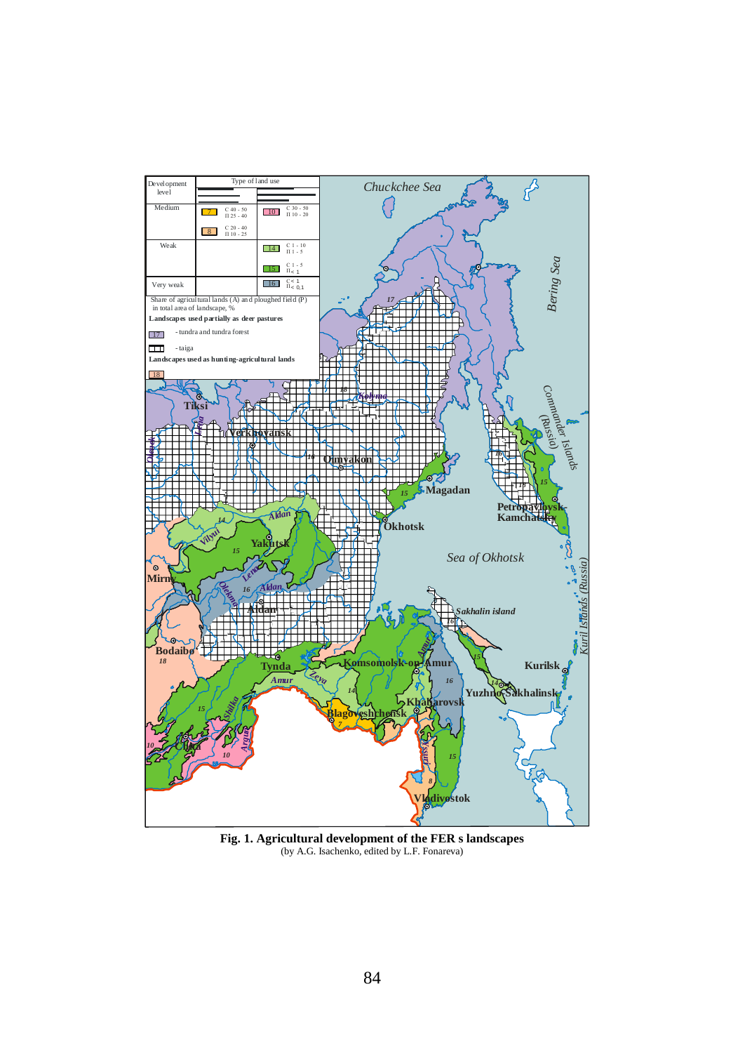

Fig. 1. Agricultural development of the FER s landscapes (by A.G. Isachenko, edited by L.F. Fonareva)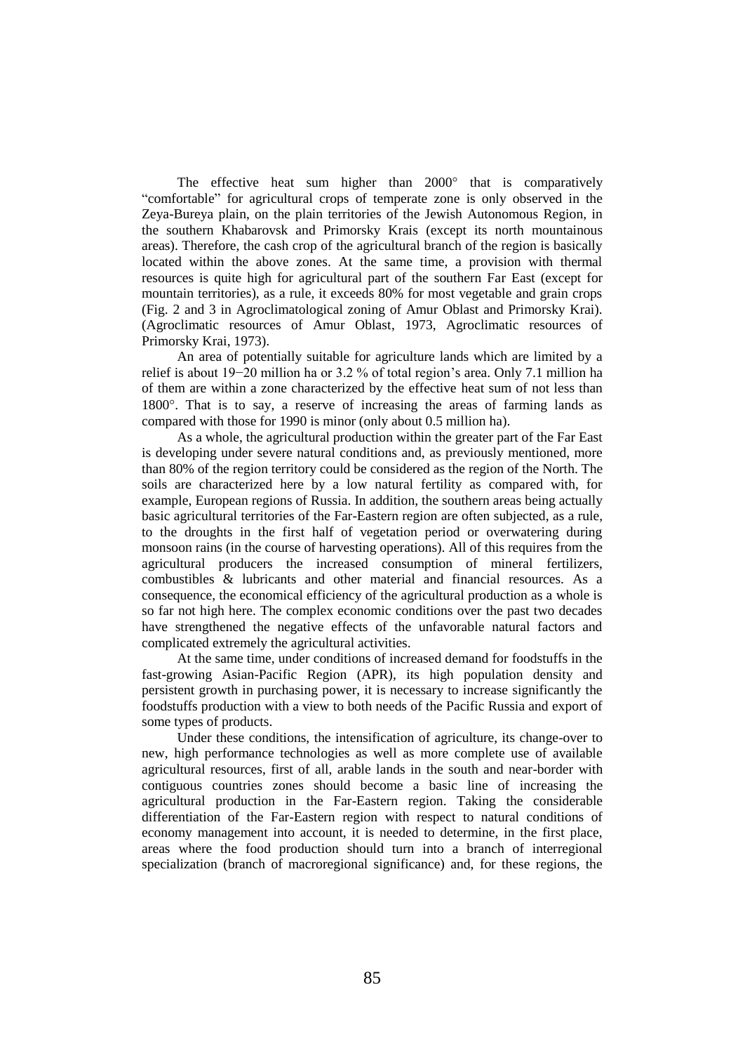The effective heat sum higher than  $2000^\circ$  that is comparatively "comfortable" for agricultural crops of temperate zone is only observed in the Zeya-Bureya plain, on the plain territories of the Jewish Autonomous Region, in the southern Khabarovsk and Primorsky Krais (except its north mountainous areas). Therefore, the cash crop of the agricultural branch of the region is basically located within the above zones. At the same time, a provision with thermal resources is quite high for agricultural part of the southern Far East (except for mountain territories), as a rule, it exceeds 80% for most vegetable and grain crops (Fig. 2 and 3 in Agroclimatological zoning of Amur Oblast and Primorsky Krai). (Agroclimatic resources of Amur Oblast, 1973, Agroclimatic resources of Primorsky Krai, 1973).

An area of potentially suitable for agriculture lands which are limited by a relief is about 19−20 million ha or 3.2 % of total region's area. Only 7.1 million ha of them are within a zone characterized by the effective heat sum of not less than 1800°. That is to say, a reserve of increasing the areas of farming lands as compared with those for 1990 is minor (only about 0.5 million ha).

As a whole, the agricultural production within the greater part of the Far East is developing under severe natural conditions and, as previously mentioned, more than 80% of the region territory could be considered as the region of the North. The soils are characterized here by a low natural fertility as compared with, for example, European regions of Russia. In addition, the southern areas being actually basic agricultural territories of the Far-Eastern region are often subjected, as a rule, to the droughts in the first half of vegetation period or overwatering during monsoon rains (in the course of harvesting operations). All of this requires from the agricultural producers the increased consumption of mineral fertilizers, combustibles & lubricants and other material and financial resources. As a consequence, the economical efficiency of the agricultural production as a whole is so far not high here. The complex economic conditions over the past two decades have strengthened the negative effects of the unfavorable natural factors and complicated extremely the agricultural activities.

At the same time, under conditions of increased demand for foodstuffs in the fast-growing Asian-Pacific Region (APR), its high population density and persistent growth in purchasing power, it is necessary to increase significantly the foodstuffs production with a view to both needs of the Pacific Russia and export of some types of products.

Under these conditions, the intensification of agriculture, its change-over to new, high performance technologies as well as more complete use of available agricultural resources, first of all, arable lands in the south and near-border with contiguous countries zones should become a basic line of increasing the agricultural production in the Far-Eastern region. Taking the considerable differentiation of the Far-Eastern region with respect to natural conditions of economy management into account, it is needed to determine, in the first place, areas where the food production should turn into a branch of interregional specialization (branch of macroregional significance) and, for these regions, the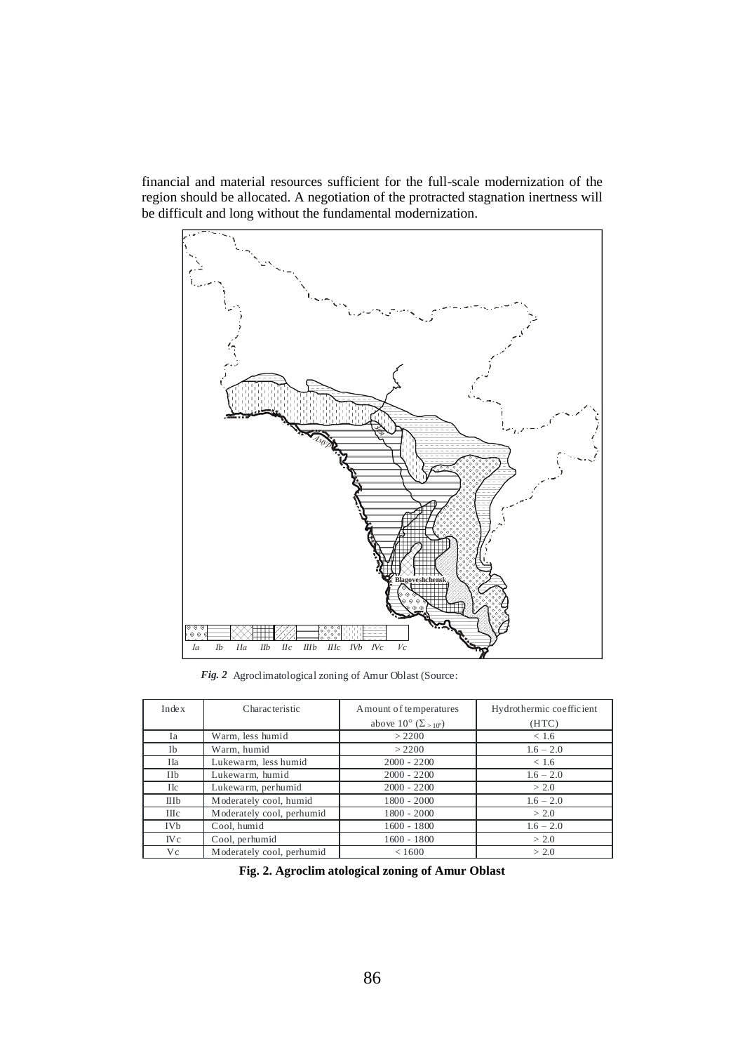financial and material resources sufficient for the full-scale modernization of the region should be allocated. A negotiation of the protracted stagnation inertness will be difficult and long without the fundamental modernization.



*Fig. 2* Agroclimatological zoning of Amur Oblast (Source:

| Inde x             | Characteristic            | A mount of temperatures                       | Hydrothermic coefficient |
|--------------------|---------------------------|-----------------------------------------------|--------------------------|
|                    |                           | above $10^{\circ}$ ( $\Sigma_{>10^{\circ}}$ ) | (HTC)                    |
| Ia                 | Warm, less humid          | > 2200                                        | < 1.6                    |
| Ib                 | Warm, humid               | > 2200                                        | $1.6 - 2.0$              |
| IIa                | Lukewarm, less humid      | $2000 - 2200$                                 | < 1.6                    |
| IIb                | Lukewarm, humid           | $2000 - 2200$                                 | $1.6 - 2.0$              |
| Пc                 | Lukewarm, per humid       | $2000 - 2200$                                 | > 2.0                    |
| IIIb               | Moderately cool, humid    | $1800 - 2000$                                 | $1.6 - 2.0$              |
| $\Pi$ <sub>c</sub> | Moderately cool, perhumid | $1800 - 2000$                                 | > 2.0                    |
| <b>IVb</b>         | Cool, humid               | $1600 - 1800$                                 | $1.6 - 2.0$              |
| $I$ V $c$          | Cool, perhumid            | $1600 - 1800$                                 | > 2.0                    |
| V c                | Moderately cool, perhumid | < 1600                                        | > 2.0                    |

**Fig. 2. Agroclim atological zoning of Amur Oblast**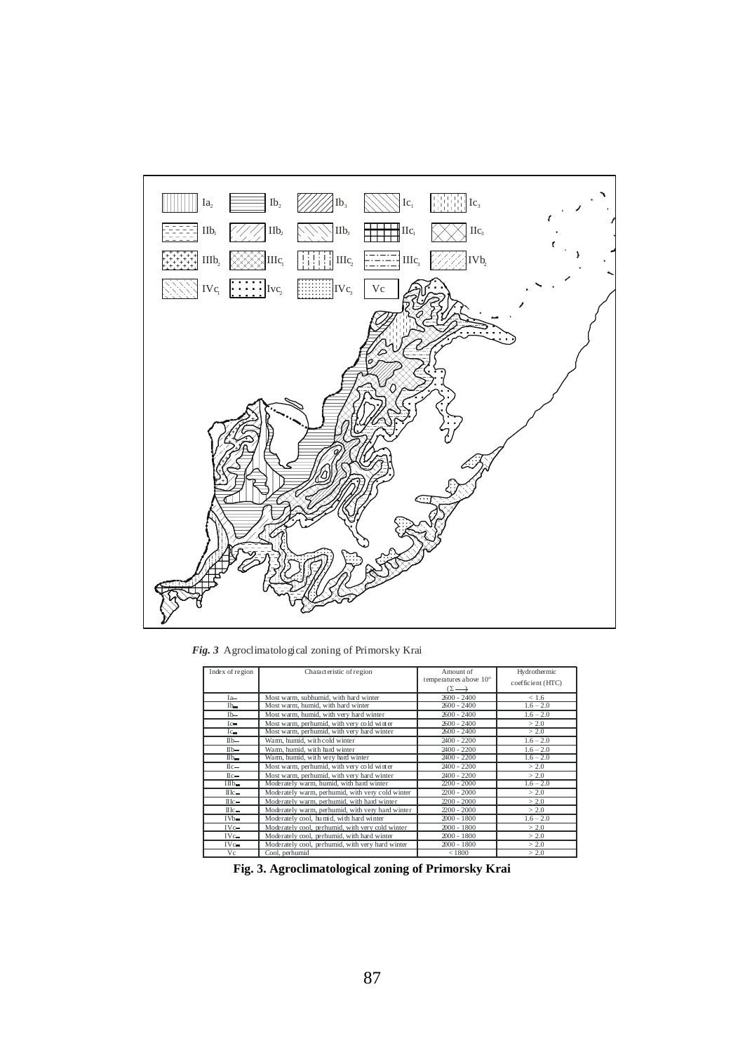

*Fig. 3* Agroclimatological zoning of Primorsky Krai

| Index of region                                       | Characteristic of region                         | Amount of<br>temperatures above $10^{\circ}$<br>$(\Sigma \longrightarrow$ | Hydrothermic<br>coefficient (HTC) |
|-------------------------------------------------------|--------------------------------------------------|---------------------------------------------------------------------------|-----------------------------------|
| Ia                                                    | Most warm, subhumid, with hard winter            | $2600 - 2400$                                                             | < 1.6                             |
| I <sub>b</sub>                                        | Most warm, humid, with hard winter               | $2600 - 2400$                                                             | $1.6 - 2.0$                       |
| $Ib-$                                                 | Most warm, humid, with very hard winter          | $2600 - 2400$                                                             | $1.6 - 2.0$                       |
| $I^{\circ}$                                           | Most warm, perhumid, with very cold winter       | $2600 - 2400$                                                             | > 2.0                             |
| $I_{G_{\blacksquare}}$                                | Most warm, perhumid, with very hard winter       | $2600 - 2400$                                                             | > 2.0                             |
| $I_{\text{Ib}}$                                       | Warm, humid, with cold winter                    | $2400 - 2200$                                                             | $1.6 - 2.0$                       |
| $I1b-$                                                | Warm, humid, with hard winter                    | $2400 - 2200$                                                             | $1.6 - 2.0$                       |
| I1b                                                   | Wann, humid, with very hard winter               | $2400 - 2200$                                                             | $1.6 - 2.0$                       |
| $\text{II}$ <sub>c</sub> $-$                          | Most warm, perhumid, with very cold winter       | $2400 - 2200$                                                             | > 2.0                             |
| $\text{II}$ <sub>c</sub> $=$                          | Most warm, perhumid, with very hard winter       | $2400 - 2200$                                                             | > 2.0                             |
| IIIb                                                  | Moderately warm, humid, with hard winter         | $2200 - 2000$                                                             | $1.6 - 2.0$                       |
| $\rm II1$ <sub>c</sub> $-$                            | Moderately warm, perhumid, with very cold winter | $2200 - 2000$                                                             | > 2.0                             |
| $\rm II$ <sub><math>\rm</math><math>\sim</math></sub> | Moderately warm, perhumid, with hard winter      | $2200 - 2000$                                                             | > 2.0                             |
| $\rm II1$ <sub><math>\rm C</math></sub>               | Moderately warm, perhumid, with very hard winter | $2200 - 2000$                                                             | > 2.0                             |
| $IVD-$                                                | Moderately cool, humid, with hard winter         | $2000 - 1800$                                                             | $1.6 - 2.0$                       |
| IV <sub>o</sub>                                       | Moderately cool, perhumid, with very cold winter | $2000 - 1800$                                                             | > 2.0                             |
| IVC                                                   | Moderately cool, perhumid, with hard winter      | $2000 - 1800$                                                             | > 2.0                             |
| $IV$ $-$                                              | Moderately cool, perhumid, with very hard winter | $2000 - 1800$                                                             | > 2.0                             |
| Vc                                                    | Cool, perhumid                                   | < 1800                                                                    | > 2.0                             |

**Fig. 3. Agroclimatological zoning of Primorsky Krai**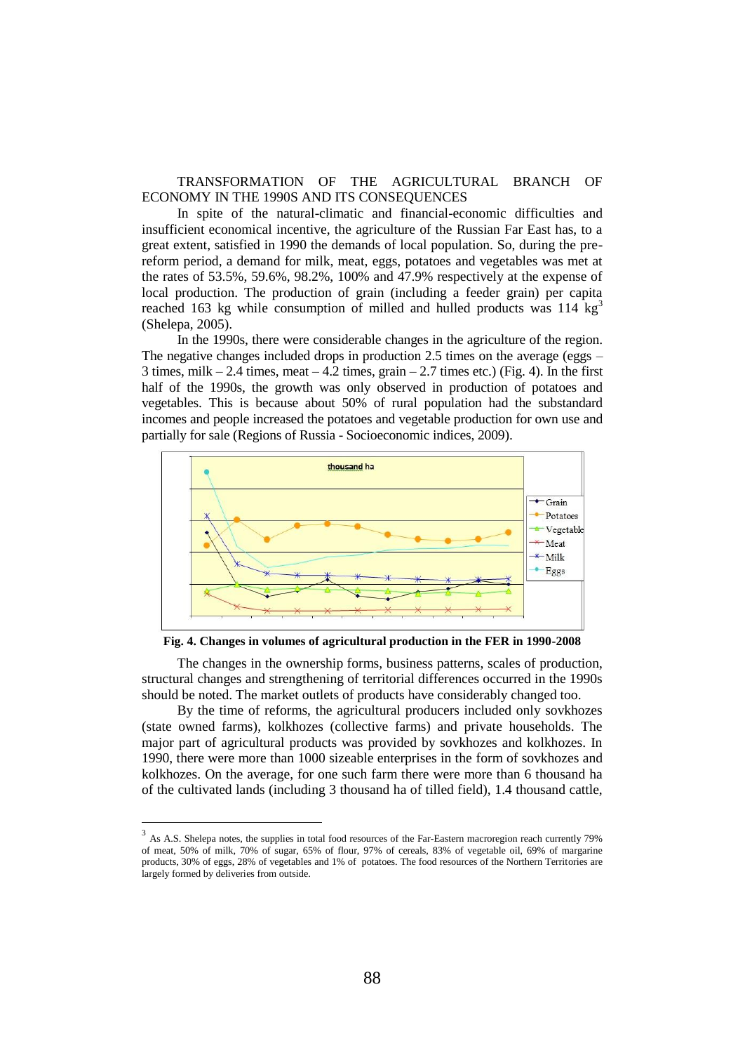TRANSFORMATION OF THE AGRICULTURAL BRANCH OF ECONOMY IN THE 1990S AND ITS CONSEQUENCES

In spite of the natural-climatic and financial-economic difficulties and insufficient economical incentive, the agriculture of the Russian Far East has, to a great extent, satisfied in 1990 the demands of local population. So, during the prereform period, a demand for milk, meat, eggs, potatoes and vegetables was met at the rates of 53.5%, 59.6%, 98.2%, 100% and 47.9% respectively at the expense of local production. The production of grain (including a feeder grain) per capita reached 163 kg while consumption of milled and hulled products was  $114 \text{ kg}^3$ (Shelepa, 2005).

In the 1990s, there were considerable changes in the agriculture of the region. The negative changes included drops in production 2.5 times on the average (eggs –  $3$  times, milk  $-2.4$  times, meat  $-4.2$  times, grain  $-2.7$  times etc.) (Fig. 4). In the first half of the 1990s, the growth was only observed in production of potatoes and vegetables. This is because about 50% of rural population had the substandard incomes and people increased the potatoes and vegetable production for own use and partially for sale (Regions of Russia - Socioeconomic indices, 2009).



**Fig. 4. Changes in volumes of agricultural production in the FER in 1990-2008**

The changes in the ownership forms, business patterns, scales of production, structural changes and strengthening of territorial differences occurred in the 1990s should be noted. The market outlets of products have considerably changed too.

By the time of reforms, the agricultural producers included only sovkhozes (state owned farms), kolkhozes (collective farms) and private households. The major part of agricultural products was provided by sovkhozes and kolkhozes. In 1990, there were more than 1000 sizeable enterprises in the form of sovkhozes and kolkhozes. On the average, for one such farm there were more than 6 thousand ha of the cultivated lands (including 3 thousand ha of tilled field), 1.4 thousand cattle,

l

 $3\,$  As A.S. Shelepa notes, the supplies in total food resources of the Far-Eastern macroregion reach currently 79% of meat, 50% of milk, 70% of sugar, 65% of flour, 97% of cereals, 83% of vegetable oil, 69% of margarine products, 30% of eggs, 28% of vegetables and 1% of potatoes. The food resources of the Northern Territories are largely formed by deliveries from outside.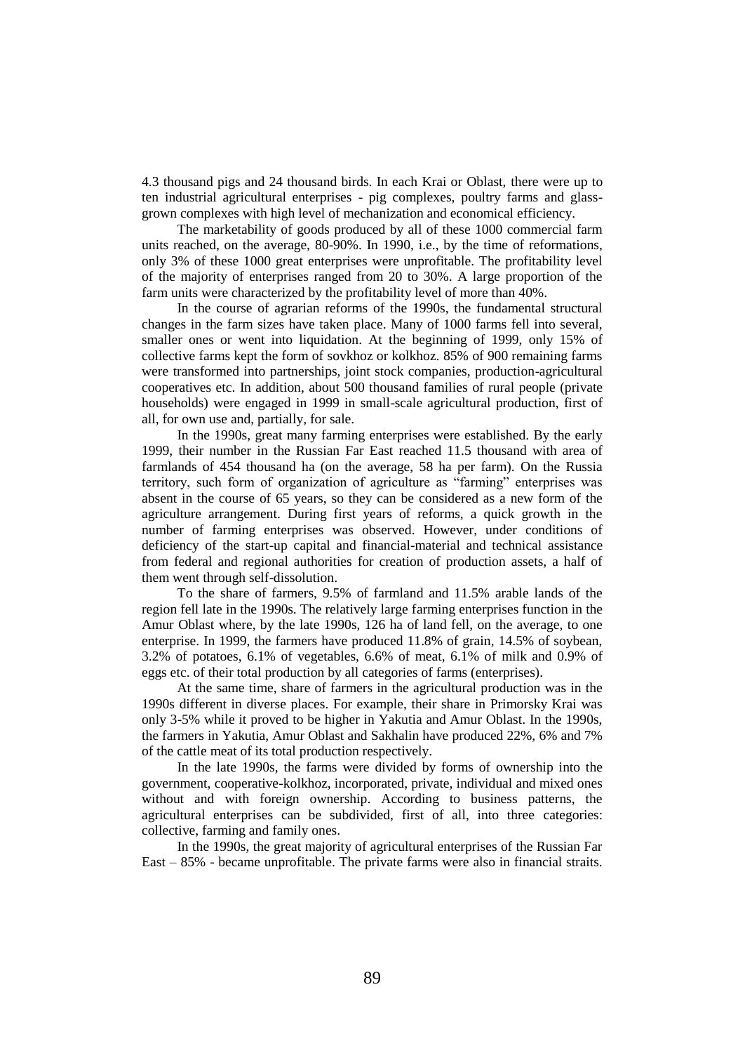4.3 thousand pigs and 24 thousand birds. In each Krai or Oblast, there were up to ten industrial agricultural enterprises - pig complexes, poultry farms and glassgrown complexes with high level of mechanization and economical efficiency.

The marketability of goods produced by all of these 1000 commercial farm units reached, on the average, 80-90%. In 1990, i.e., by the time of reformations, only 3% of these 1000 great enterprises were unprofitable. The profitability level of the majority of enterprises ranged from 20 to 30%. A large proportion of the farm units were characterized by the profitability level of more than 40%.

In the course of agrarian reforms of the 1990s, the fundamental structural changes in the farm sizes have taken place. Many of 1000 farms fell into several, smaller ones or went into liquidation. At the beginning of 1999, only 15% of collective farms kept the form of sovkhoz or kolkhoz. 85% of 900 remaining farms were transformed into partnerships, joint stock companies, production-agricultural cooperatives etc. In addition, about 500 thousand families of rural people (private households) were engaged in 1999 in small-scale agricultural production, first of all, for own use and, partially, for sale.

In the 1990s, great many farming enterprises were established. By the early 1999, their number in the Russian Far East reached 11.5 thousand with area of farmlands of 454 thousand ha (on the average, 58 ha per farm). On the Russia territory, such form of organization of agriculture as "farming" enterprises was absent in the course of 65 years, so they can be considered as a new form of the agriculture arrangement. During first years of reforms, a quick growth in the number of farming enterprises was observed. However, under conditions of deficiency of the start-up capital and financial-material and technical assistance from federal and regional authorities for creation of production assets, a half of them went through self-dissolution.

To the share of farmers, 9.5% of farmland and 11.5% arable lands of the region fell late in the 1990s. The relatively large farming enterprises function in the Amur Oblast where, by the late 1990s, 126 ha of land fell, on the average, to one enterprise. In 1999, the farmers have produced 11.8% of grain, 14.5% of soybean, 3.2% of potatoes, 6.1% of vegetables, 6.6% of meat, 6.1% of milk and 0.9% of eggs etc. of their total production by all categories of farms (enterprises).

At the same time, share of farmers in the agricultural production was in the 1990s different in diverse places. For example, their share in Primorsky Krai was only 3-5% while it proved to be higher in Yakutia and Amur Oblast. In the 1990s, the farmers in Yakutia, Amur Oblast and Sakhalin have produced 22%, 6% and 7% of the cattle meat of its total production respectively.

In the late 1990s, the farms were divided by forms of ownership into the government, cooperative-kolkhoz, incorporated, private, individual and mixed ones without and with foreign ownership. According to business patterns, the agricultural enterprises can be subdivided, first of all, into three categories: collective, farming and family ones.

In the 1990s, the great majority of agricultural enterprises of the Russian Far East – 85% - became unprofitable. The private farms were also in financial straits.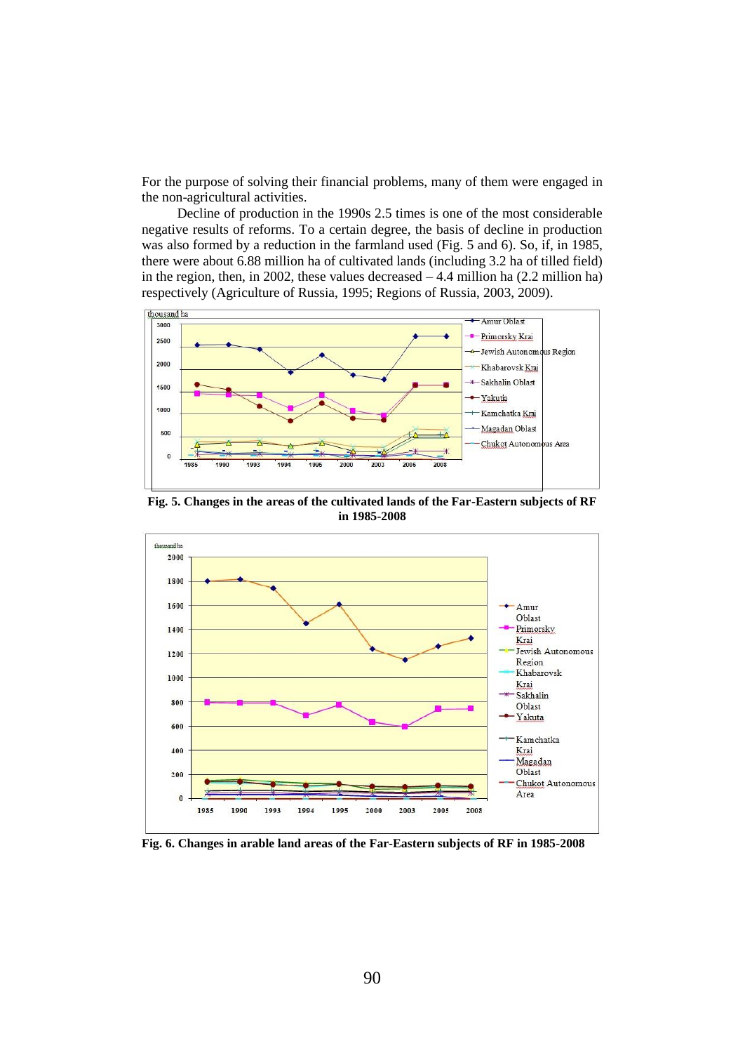For the purpose of solving their financial problems, many of them were engaged in the non-agricultural activities.

Decline of production in the 1990s 2.5 times is one of the most considerable negative results of reforms. To a certain degree, the basis of decline in production was also formed by a reduction in the farmland used (Fig. 5 and 6). So, if, in 1985, there were about 6.88 million ha of cultivated lands (including 3.2 ha of tilled field) in the region, then, in 2002, these values decreased  $-4.4$  million ha (2.2 million ha) respectively (Agriculture of Russia, 1995; Regions of Russia, 2003, 2009).



**Fig. 5. Changes in the areas of the cultivated lands of the Far-Eastern subjects of RF in 1985-2008**



**Fig. 6. Changes in arable land areas of the Far-Eastern subjects of RF in 1985-2008**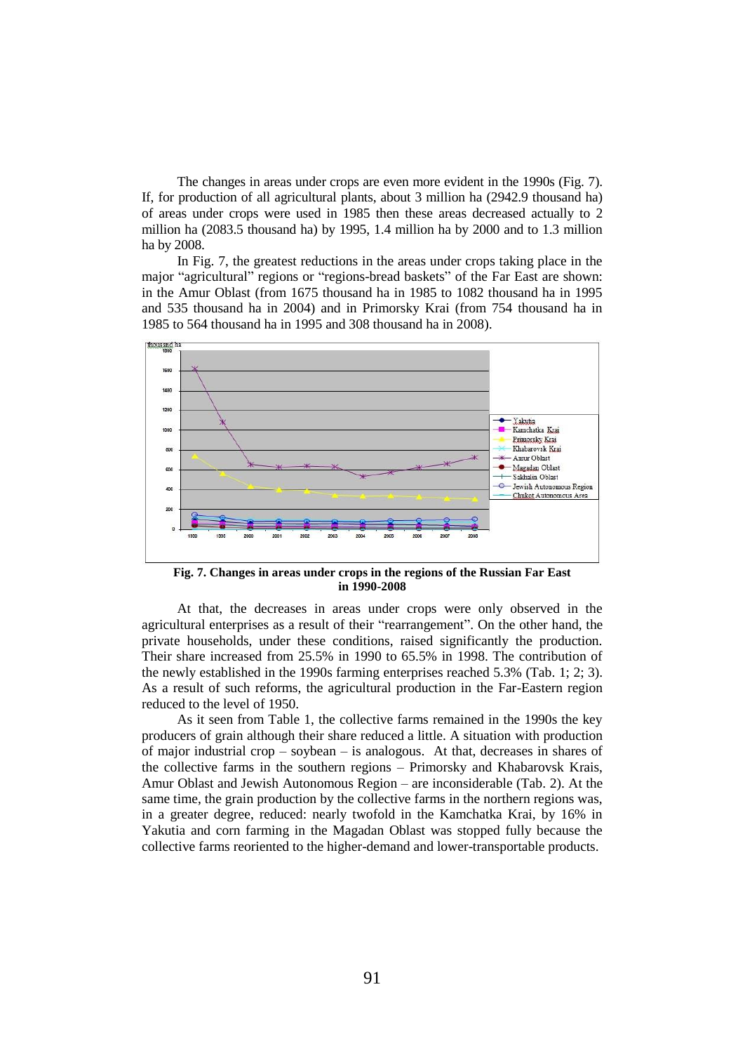The changes in areas under crops are even more evident in the 1990s (Fig. 7). If, for production of all agricultural plants, about 3 million ha (2942.9 thousand ha) of areas under crops were used in 1985 then these areas decreased actually to 2 million ha (2083.5 thousand ha) by 1995, 1.4 million ha by 2000 and to 1.3 million ha by 2008.

In Fig. 7, the greatest reductions in the areas under crops taking place in the major "agricultural" regions or "regions-bread baskets" of the Far East are shown: in the Amur Oblast (from 1675 thousand ha in 1985 to 1082 thousand ha in 1995 and 535 thousand ha in 2004) and in Primorsky Krai (from 754 thousand ha in 1985 to 564 thousand ha in 1995 and 308 thousand ha in 2008).



**Fig. 7. Changes in areas under crops in the regions of the Russian Far East in 1990-2008**

At that, the decreases in areas under crops were only observed in the agricultural enterprises as a result of their "rearrangement". On the other hand, the private households, under these conditions, raised significantly the production. Their share increased from 25.5% in 1990 to 65.5% in 1998. The contribution of the newly established in the 1990s farming enterprises reached 5.3% (Tab. 1; 2; 3). As a result of such reforms, the agricultural production in the Far-Eastern region reduced to the level of 1950.

As it seen from Table 1, the collective farms remained in the 1990s the key producers of grain although their share reduced a little. A situation with production of major industrial crop – soybean – is analogous. At that, decreases in shares of the collective farms in the southern regions – Primorsky and Khabarovsk Krais, Amur Oblast and Jewish Autonomous Region – are inconsiderable (Tab. 2). At the same time, the grain production by the collective farms in the northern regions was, in a greater degree, reduced: nearly twofold in the Kamchatka Krai, by 16% in Yakutia and corn farming in the Magadan Oblast was stopped fully because the collective farms reoriented to the higher-demand and lower-transportable products.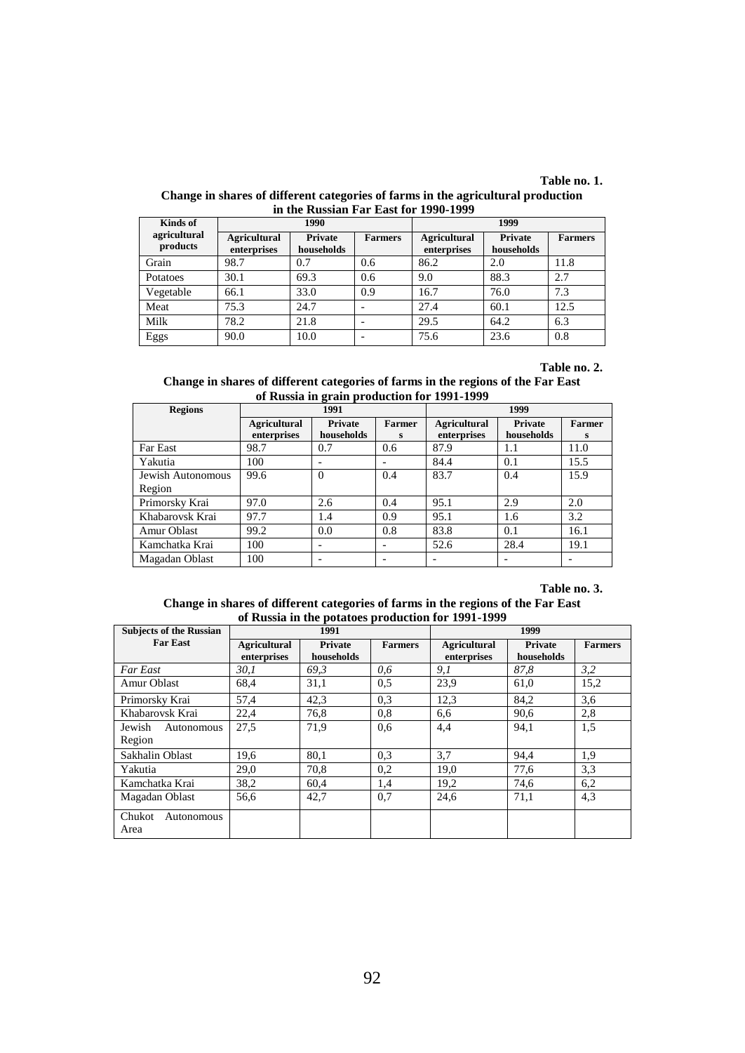## **Table no. 1.**

| Change in shares of different categories of farms in the agricultural production |                                       |  |  |  |
|----------------------------------------------------------------------------------|---------------------------------------|--|--|--|
|                                                                                  | in the Russian Far East for 1990-1999 |  |  |  |

| Kinds of                 |                                    | 1990                  |                | 1999                               |                              |                |
|--------------------------|------------------------------------|-----------------------|----------------|------------------------------------|------------------------------|----------------|
| agricultural<br>products | <b>Agricultural</b><br>enterprises | Private<br>households | <b>Farmers</b> | <b>Agricultural</b><br>enterprises | <b>Private</b><br>households | <b>Farmers</b> |
| Grain                    | 98.7                               | 0.7                   | 0.6            | 86.2                               | 2.0                          | 11.8           |
| Potatoes                 | 30.1                               | 69.3                  | 0.6            | 9.0                                | 88.3                         | 2.7            |
| Vegetable                | 66.1                               | 33.0                  | 0.9            | 16.7                               | 76.0                         | 7.3            |
| Meat                     | 75.3                               | 24.7                  |                | 27.4                               | 60.1                         | 12.5           |
| Milk                     | 78.2                               | 21.8                  |                | 29.5                               | 64.2                         | 6.3            |
| Eggs                     | 90.0                               | 10.0                  |                | 75.6                               | 23.6                         | 0.8            |

## **Table no. 2.**

### **Change in shares of different categories of farms in the regions of the Far East of Russia in grain production for 1991-1999**

| <b>Regions</b>    | 1991                               |                       |                    | 1999                               |                              |                    |  |
|-------------------|------------------------------------|-----------------------|--------------------|------------------------------------|------------------------------|--------------------|--|
|                   | <b>Agricultural</b><br>enterprises | Private<br>households | <b>Farmer</b><br>s | <b>Agricultural</b><br>enterprises | <b>Private</b><br>households | <b>Farmer</b><br>s |  |
| Far East          | 98.7                               | 0.7                   | 0.6                | 87.9                               | 1.1                          | 11.0               |  |
| Yakutia           | 100                                | -                     |                    | 84.4                               | 0.1                          | 15.5               |  |
| Jewish Autonomous | 99.6                               | $\Omega$              | 0.4                | 83.7                               | 0.4                          | 15.9               |  |
| Region            |                                    |                       |                    |                                    |                              |                    |  |
| Primorsky Krai    | 97.0                               | 2.6                   | 0.4                | 95.1                               | 2.9                          | 2.0                |  |
| Khabarovsk Krai   | 97.7                               | 1.4                   | 0.9                | 95.1                               | 1.6                          | 3.2                |  |
| Amur Oblast       | 99.2                               | 0.0                   | 0.8                | 83.8                               | 0.1                          | 16.1               |  |
| Kamchatka Krai    | 100                                | -                     |                    | 52.6                               | 28.4                         | 19.1               |  |
| Magadan Oblast    | 100                                |                       |                    |                                    |                              |                    |  |

## **Table no. 3.**

### **Change in shares of different categories of farms in the regions of the Far East of Russia in the potatoes production for 1991-1999**

| <b>Subjects of the Russian</b> | 1991                               |                       |                | 1999                               |                       |                |
|--------------------------------|------------------------------------|-----------------------|----------------|------------------------------------|-----------------------|----------------|
| <b>Far East</b>                | <b>Agricultural</b><br>enterprises | Private<br>households | <b>Farmers</b> | <b>Agricultural</b><br>enterprises | Private<br>households | <b>Farmers</b> |
| <b>Far East</b>                | 30, I                              | 69.3                  | 0.6            | 9,1                                | 87.8                  | 3,2            |
| Amur Oblast                    | 68,4                               | 31,1                  | 0,5            | 23,9                               | 61,0                  | 15,2           |
| Primorsky Krai                 | 57,4                               | 42,3                  | 0.3            | 12.3                               | 84,2                  | 3,6            |
| Khabarovsk Krai                | 22,4                               | 76.8                  | 0,8            | 6.6                                | 90,6                  | 2,8            |
| Jewish<br>Autonomous           | 27,5                               | 71.9                  | 0.6            | 4,4                                | 94,1                  | 1,5            |
| Region                         |                                    |                       |                |                                    |                       |                |
| Sakhalin Oblast                | 19,6                               | 80,1                  | 0.3            | 3.7                                | 94,4                  | 1,9            |
| Yakutia                        | 29.0                               | 70.8                  | 0.2            | 19.0                               | 77,6                  | 3.3            |
| Kamchatka Krai                 | 38,2                               | 60.4                  | 1,4            | 19,2                               | 74,6                  | 6,2            |
| Magadan Oblast                 | 56.6                               | 42.7                  | 0.7            | 24.6                               | 71,1                  | 4,3            |
| Chukot<br>Autonomous<br>Area   |                                    |                       |                |                                    |                       |                |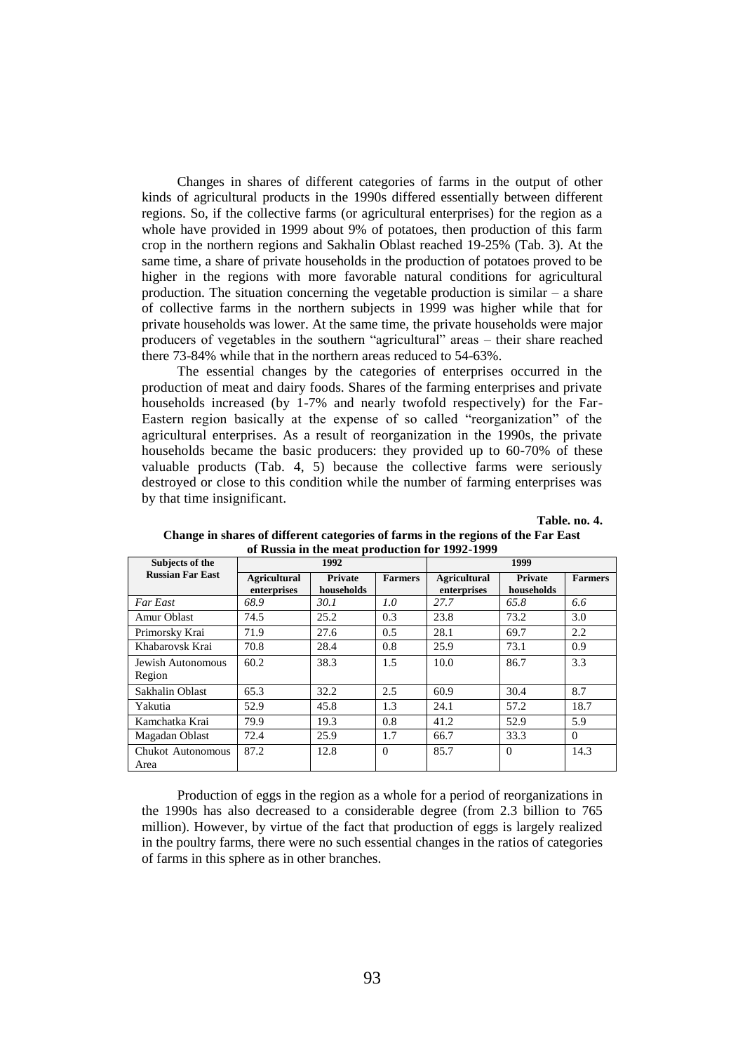Changes in shares of different categories of farms in the output of other kinds of agricultural products in the 1990s differed essentially between different regions. So, if the collective farms (or agricultural enterprises) for the region as a whole have provided in 1999 about 9% of potatoes, then production of this farm crop in the northern regions and Sakhalin Oblast reached 19-25% (Tab. 3). At the same time, a share of private households in the production of potatoes proved to be higher in the regions with more favorable natural conditions for agricultural production. The situation concerning the vegetable production is similar  $-$  a share of collective farms in the northern subjects in 1999 was higher while that for private households was lower. At the same time, the private households were major producers of vegetables in the southern "agricultural" areas – their share reached there 73-84% while that in the northern areas reduced to 54-63%.

The essential changes by the categories of enterprises occurred in the production of meat and dairy foods. Shares of the farming enterprises and private households increased (by 1-7% and nearly twofold respectively) for the Far-Eastern region basically at the expense of so called "reorganization" of the agricultural enterprises. As a result of reorganization in the 1990s, the private households became the basic producers: they provided up to 60-70% of these valuable products (Tab. 4, 5) because the collective farms were seriously destroyed or close to this condition while the number of farming enterprises was by that time insignificant.

**Table. no. 4.**

| 01 Russia III the meat production for 1772-1777 |                     |                |                |                     |            |                |  |  |
|-------------------------------------------------|---------------------|----------------|----------------|---------------------|------------|----------------|--|--|
| Subjects of the                                 | 1992                |                |                | 1999                |            |                |  |  |
| <b>Russian Far East</b>                         | <b>Agricultural</b> | <b>Private</b> | <b>Farmers</b> | <b>Agricultural</b> | Private    | <b>Farmers</b> |  |  |
|                                                 | enterprises         | households     |                | enterprises         | households |                |  |  |
| <b>Far East</b>                                 | 68.9                | 30.1           | 1.0            | 27.7                | 65.8       | 6.6            |  |  |
| Amur Oblast                                     | 74.5                | 25.2           | 0.3            | 23.8                | 73.2       | 3.0            |  |  |
| Primorsky Krai                                  | 71.9                | 27.6           | 0.5            | 28.1                | 69.7       | 2.2            |  |  |
| Khabarovsk Krai                                 | 70.8                | 28.4           | 0.8            | 25.9                | 73.1       | 0.9            |  |  |
| Jewish Autonomous                               | 60.2                | 38.3           | 1.5            | 10.0                | 86.7       | 3.3            |  |  |
| Region                                          |                     |                |                |                     |            |                |  |  |
| Sakhalin Oblast                                 | 65.3                | 32.2           | 2.5            | 60.9                | 30.4       | 8.7            |  |  |
| Yakutia                                         | 52.9                | 45.8           | 1.3            | 24.1                | 57.2       | 18.7           |  |  |
| Kamchatka Krai                                  | 79.9                | 19.3           | 0.8            | 41.2                | 52.9       | 5.9            |  |  |
| Magadan Oblast                                  | 72.4                | 25.9           | 1.7            | 66.7                | 33.3       | $\Omega$       |  |  |
| Chukot Autonomous                               | 87.2                | 12.8           | $\Omega$       | 85.7                | $\Omega$   | 14.3           |  |  |
| Area                                            |                     |                |                |                     |            |                |  |  |

**Change in shares of different categories of farms in the regions of the Far East of Russia in the meat production for 1992-1999**

Production of eggs in the region as a whole for a period of reorganizations in the 1990s has also decreased to a considerable degree (from 2.3 billion to 765 million). However, by virtue of the fact that production of eggs is largely realized in the poultry farms, there were no such essential changes in the ratios of categories of farms in this sphere as in other branches.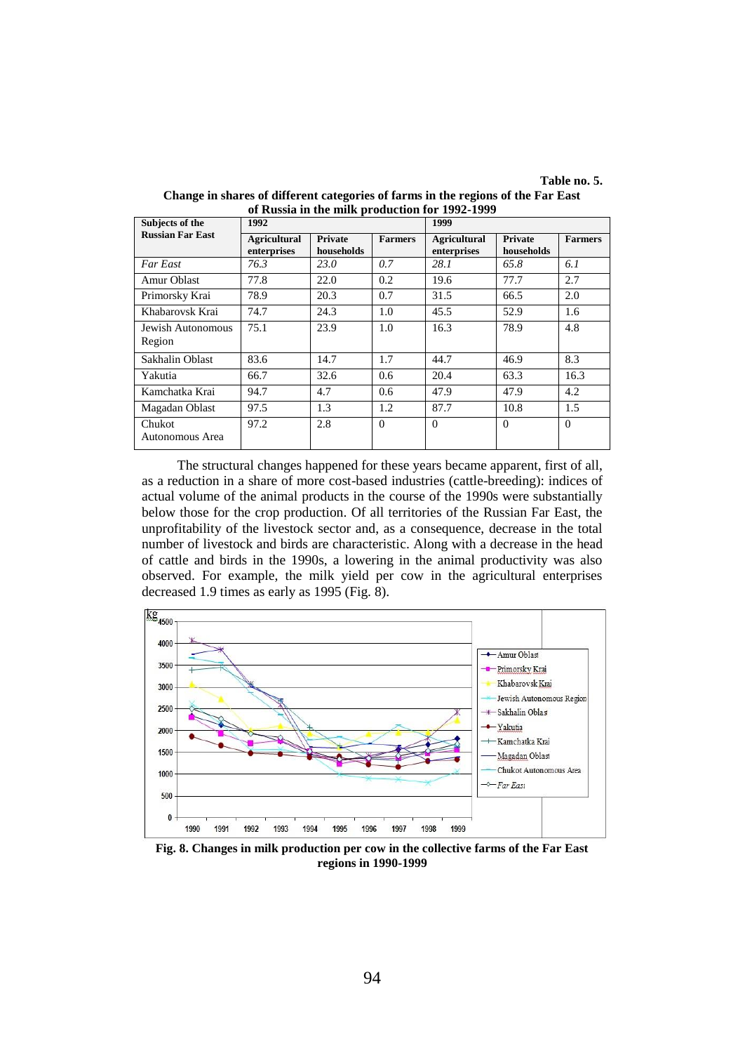**Table no. 5.**

| Subjects of the             | 1992                               |                              |                | 1999                               |                       |                |
|-----------------------------|------------------------------------|------------------------------|----------------|------------------------------------|-----------------------|----------------|
| <b>Russian Far East</b>     | <b>Agricultural</b><br>enterprises | <b>Private</b><br>households | <b>Farmers</b> | <b>Agricultural</b><br>enterprises | Private<br>households | <b>Farmers</b> |
| Far East                    | 76.3                               | 23.0                         | 0.7            | 28.1                               | 65.8                  | 6.1            |
| Amur Oblast                 | 77.8                               | 22.0                         | 0.2            | 19.6                               | 77.7                  | 2.7            |
| Primorsky Krai              | 78.9                               | 20.3                         | 0.7            | 31.5                               | 66.5                  | 2.0            |
| Khabarovsk Krai             | 74.7                               | 24.3                         | 1.0            | 45.5                               | 52.9                  | 1.6            |
| Jewish Autonomous<br>Region | 75.1                               | 23.9                         | 1.0            | 16.3                               | 78.9                  | 4.8            |
| Sakhalin Oblast             | 83.6                               | 14.7                         | 1.7            | 44.7                               | 46.9                  | 8.3            |
| Yakutia                     | 66.7                               | 32.6                         | 0.6            | 20.4                               | 63.3                  | 16.3           |
| Kamchatka Krai              | 94.7                               | 4.7                          | 0.6            | 47.9                               | 47.9                  | 4.2            |
| Magadan Oblast              | 97.5                               | 1.3                          | 1.2            | 87.7                               | 10.8                  | 1.5            |
| Chukot<br>Autonomous Area   | 97.2                               | 2.8                          | $\Omega$       | $\Omega$                           | $\Omega$              | $\Omega$       |

**Change in shares of different categories of farms in the regions of the Far East of Russia in the milk production for 1992-1999**

The structural changes happened for these years became apparent, first of all, as a reduction in a share of more cost-based industries (cattle-breeding): indices of actual volume of the animal products in the course of the 1990s were substantially below those for the crop production. Of all territories of the Russian Far East, the unprofitability of the livestock sector and, as a consequence, decrease in the total number of livestock and birds are characteristic. Along with a decrease in the head of cattle and birds in the 1990s, a lowering in the animal productivity was also observed. For example, the milk yield per cow in the agricultural enterprises decreased 1.9 times as early as 1995 (Fig. 8).



**Fig. 8. Changes in milk production per cow in the collective farms of the Far East regions in 1990-1999**